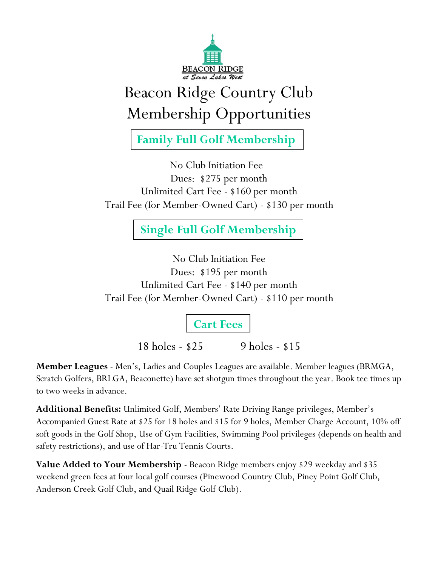

## Beacon Ridge Country Club Membership Opportunities

**Family Full Golf Membership**

No Club Initiation Fee Dues: \$275 per month Unlimited Cart Fee - \$160 per month Trail Fee (for Member-Owned Cart) - \$130 per month

**Single Full Golf Membership**

No Club Initiation Fee Dues: \$195 per month Unlimited Cart Fee - \$140 per month Trail Fee (for Member-Owned Cart) - \$110 per month

**Cart Fees**

18 holes - \$25 9 holes - \$15

**Member Leagues** - Men's, Ladies and Couples Leagues are available. Member leagues (BRMGA, Scratch Golfers, BRLGA, Beaconette) have set shotgun times throughout the year. Book tee times up to two weeks in advance.

**Additional Benefits:** Unlimited Golf, Members' Rate Driving Range privileges, Member's Accompanied Guest Rate at \$25 for 18 holes and \$15 for 9 holes, Member Charge Account, 10% off soft goods in the Golf Shop, Use of Gym Facilities, Swimming Pool privileges (depends on health and safety restrictions), and use of Har-Tru Tennis Courts.

**Value Added to Your Membership** - Beacon Ridge members enjoy \$29 weekday and \$35 weekend green fees at four local golf courses (Pinewood Country Club, Piney Point Golf Club, Anderson Creek Golf Club, and Quail Ridge Golf Club).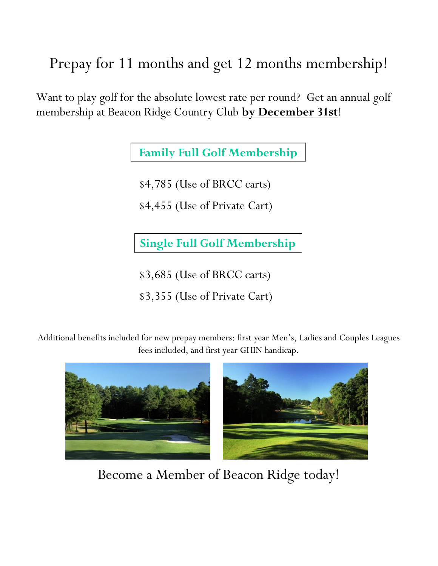Prepay for 11 months and get 12 months membership!

Want to play golf for the absolute lowest rate per round? Get an annual golf membership at Beacon Ridge Country Club **by December 31st**!

**Family Full Golf Membership**

\$4,785 (Use of BRCC carts)

\$4,455 (Use of Private Cart)

**Single Full Golf Membership**

\$3,685 (Use of BRCC carts)

\$3,355 (Use of Private Cart)

Additional benefits included for new prepay members: first year Men's, Ladies and Couples Leagues fees included, and first year GHIN handicap.



Become a Member of Beacon Ridge today!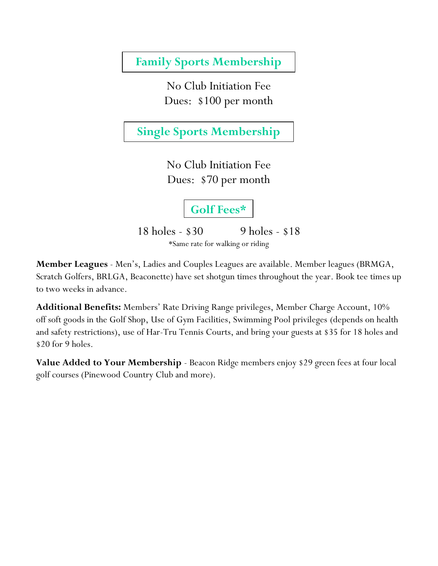**Family Sports Membership**

No Club Initiation Fee Dues: \$100 per month

**Single Sports Membership**

No Club Initiation Fee Dues: \$70 per month

**Golf Fees\***

18 holes - \$30 9 holes - \$18 \*Same rate for walking or riding

**Member Leagues** - Men's, Ladies and Couples Leagues are available. Member leagues (BRMGA, Scratch Golfers, BRLGA, Beaconette) have set shotgun times throughout the year. Book tee times up to two weeks in advance.

**Additional Benefits:** Members' Rate Driving Range privileges, Member Charge Account, 10% off soft goods in the Golf Shop, Use of Gym Facilities, Swimming Pool privileges (depends on health and safety restrictions), use of Har-Tru Tennis Courts, and bring your guests at \$35 for 18 holes and \$20 for 9 holes.

**Value Added to Your Membership** - Beacon Ridge members enjoy \$29 green fees at four local golf courses (Pinewood Country Club and more).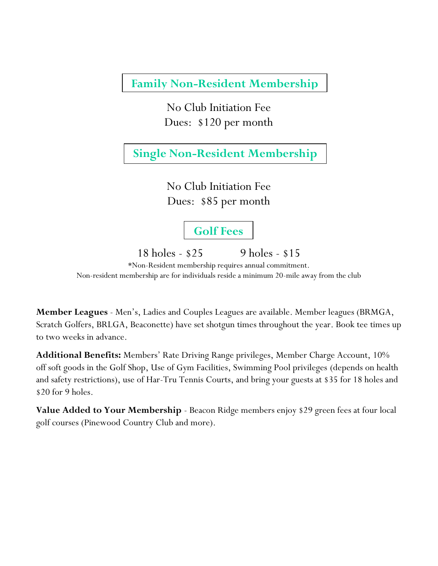**Family Non-Resident Membership**

No Club Initiation Fee Dues: \$120 per month

**Single Non-Resident Membership**

No Club Initiation Fee Dues: \$85 per month

**Golf Fees**

18 holes - \$25 9 holes - \$15

\*Non-Resident membership requires annual commitment. Non-resident membership are for individuals reside a minimum 20-mile away from the club

**Member Leagues** - Men's, Ladies and Couples Leagues are available. Member leagues (BRMGA, Scratch Golfers, BRLGA, Beaconette) have set shotgun times throughout the year. Book tee times up to two weeks in advance.

**Additional Benefits:** Members' Rate Driving Range privileges, Member Charge Account, 10% off soft goods in the Golf Shop, Use of Gym Facilities, Swimming Pool privileges (depends on health and safety restrictions), use of Har-Tru Tennis Courts, and bring your guests at \$35 for 18 holes and \$20 for 9 holes.

**Value Added to Your Membership** - Beacon Ridge members enjoy \$29 green fees at four local golf courses (Pinewood Country Club and more).